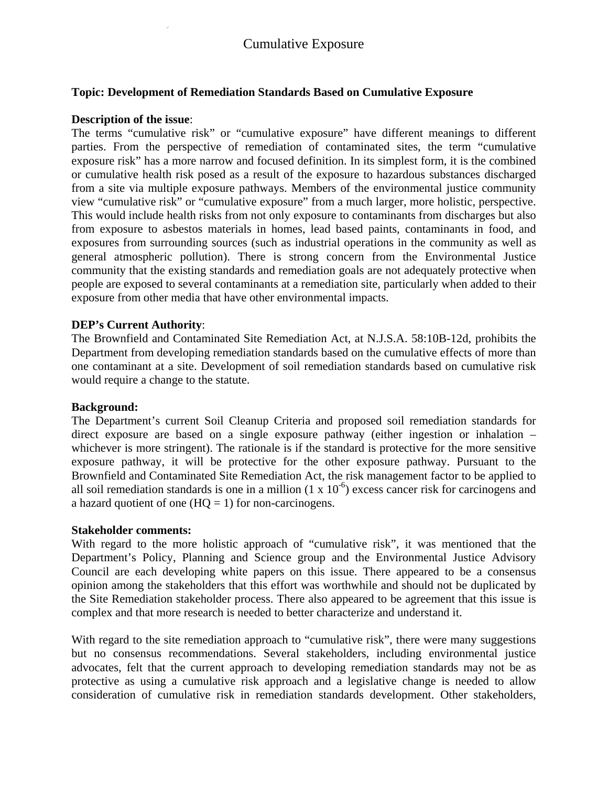## **Topic: Development of Remediation Standards Based on Cumulative Exposure**

### **Description of the issue**:

The terms "cumulative risk" or "cumulative exposure" have different meanings to different parties. From the perspective of remediation of contaminated sites, the term "cumulative exposure risk" has a more narrow and focused definition. In its simplest form, it is the combined or cumulative health risk posed as a result of the exposure to hazardous substances discharged from a site via multiple exposure pathways. Members of the environmental justice community view "cumulative risk" or "cumulative exposure" from a much larger, more holistic, perspective. This would include health risks from not only exposure to contaminants from discharges but also from exposure to asbestos materials in homes, lead based paints, contaminants in food, and exposures from surrounding sources (such as industrial operations in the community as well as general atmospheric pollution). There is strong concern from the Environmental Justice community that the existing standards and remediation goals are not adequately protective when people are exposed to several contaminants at a remediation site, particularly when added to their exposure from other media that have other environmental impacts.

### **DEP's Current Authority**:

The Brownfield and Contaminated Site Remediation Act, at N.J.S.A. 58:10B-12d, prohibits the Department from developing remediation standards based on the cumulative effects of more than one contaminant at a site. Development of soil remediation standards based on cumulative risk would require a change to the statute.

### **Background:**

The Department's current Soil Cleanup Criteria and proposed soil remediation standards for direct exposure are based on a single exposure pathway (either ingestion or inhalation – whichever is more stringent). The rationale is if the standard is protective for the more sensitive exposure pathway, it will be protective for the other exposure pathway. Pursuant to the Brownfield and Contaminated Site Remediation Act, the risk management factor to be applied to all soil remediation standards is one in a million  $(1 \times 10^{-6})$  excess cancer risk for carcinogens and a hazard quotient of one  $(HQ = 1)$  for non-carcinogens.

#### **Stakeholder comments:**

With regard to the more holistic approach of "cumulative risk", it was mentioned that the Department's Policy, Planning and Science group and the Environmental Justice Advisory Council are each developing white papers on this issue. There appeared to be a consensus opinion among the stakeholders that this effort was worthwhile and should not be duplicated by the Site Remediation stakeholder process. There also appeared to be agreement that this issue is complex and that more research is needed to better characterize and understand it.

With regard to the site remediation approach to "cumulative risk", there were many suggestions but no consensus recommendations. Several stakeholders, including environmental justice advocates, felt that the current approach to developing remediation standards may not be as protective as using a cumulative risk approach and a legislative change is needed to allow consideration of cumulative risk in remediation standards development. Other stakeholders,